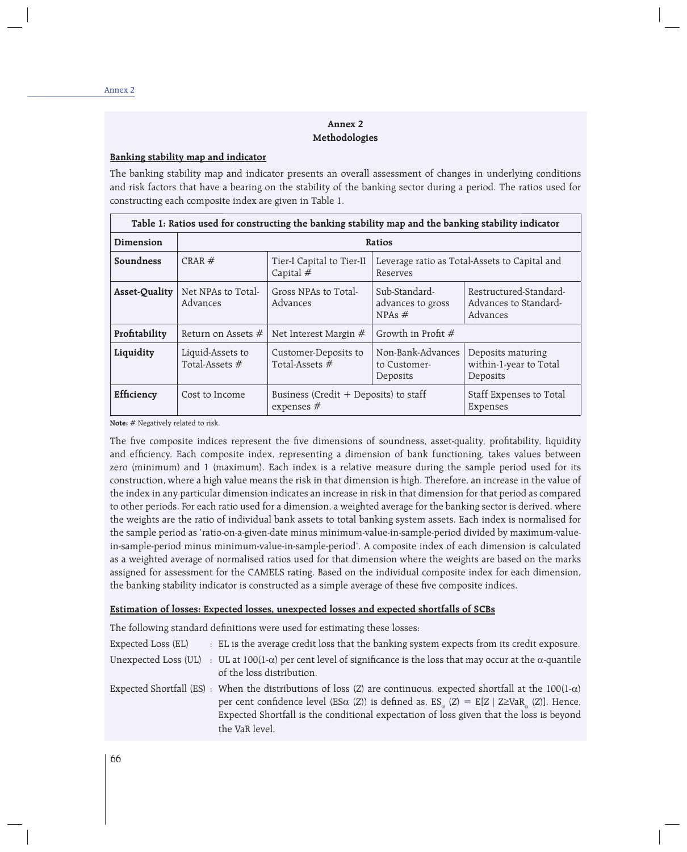## **Annex 2 Methodologies**

## **Banking stability map and indicator**

The banking stability map and indicator presents an overall assessment of changes in underlying conditions and risk factors that have a bearing on the stability of the banking sector during a period. The ratios used for constructing each composite index are given in Table 1.

| Table 1: Ratios used for constructing the banking stability map and the banking stability indicator |                                                                                                                   |                                                                     |                                                |                                                             |  |
|-----------------------------------------------------------------------------------------------------|-------------------------------------------------------------------------------------------------------------------|---------------------------------------------------------------------|------------------------------------------------|-------------------------------------------------------------|--|
| Dimension                                                                                           | Ratios                                                                                                            |                                                                     |                                                |                                                             |  |
| Soundness                                                                                           | CRAR $#$<br>Tier-I Capital to Tier-II<br>Leverage ratio as Total-Assets to Capital and<br>Capital $#$<br>Reserves |                                                                     |                                                |                                                             |  |
| Asset-Quality                                                                                       | Net NPAs to Total-<br>Advances                                                                                    | Gross NPAs to Total-<br>Advances                                    | Sub-Standard-<br>advances to gross<br>NPAs $#$ | Restructured-Standard-<br>Advances to Standard-<br>Advances |  |
| Profitability                                                                                       | Return on Assets $#$                                                                                              | Net Interest Margin #                                               | Growth in Profit #                             |                                                             |  |
| Liquidity                                                                                           | Liquid-Assets to<br>Total-Assets #                                                                                | Customer-Deposits to<br>Total-Assets #                              | Non-Bank-Advances<br>to Customer-<br>Deposits  | Deposits maturing<br>within-1-year to Total<br>Deposits     |  |
| Efficiency                                                                                          | Cost to Income                                                                                                    | Business (Credit $+$ Deposits) to staff<br>expenses $#$<br>Expenses |                                                | Staff Expenses to Total                                     |  |

**Note:** # Negatively related to risk.

The five composite indices represent the five dimensions of soundness, asset-quality, profitability, liquidity and efficiency. Each composite index, representing a dimension of bank functioning, takes values between zero (minimum) and 1 (maximum). Each index is a relative measure during the sample period used for its construction, where a high value means the risk in that dimension is high. Therefore, an increase in the value of the index in any particular dimension indicates an increase in risk in that dimension for that period as compared to other periods. For each ratio used for a dimension, a weighted average for the banking sector is derived, where the weights are the ratio of individual bank assets to total banking system assets. Each index is normalised for the sample period as 'ratio-on-a-given-date minus minimum-value-in-sample-period divided by maximum-valuein-sample-period minus minimum-value-in-sample-period'. A composite index of each dimension is calculated as a weighted average of normalised ratios used for that dimension where the weights are based on the marks assigned for assessment for the CAMELS rating. Based on the individual composite index for each dimension, the banking stability indicator is constructed as a simple average of these five composite indices.

#### **Estimation of losses: Expected losses, unexpected losses and expected shortfalls of SCBs**

The following standard definitions were used for estimating these losses:

the VaR level.

| Expected Loss (EL) | : EL is the average credit loss that the banking system expects from its credit exposure.                                                                                                                                                                                                                                                                                         |
|--------------------|-----------------------------------------------------------------------------------------------------------------------------------------------------------------------------------------------------------------------------------------------------------------------------------------------------------------------------------------------------------------------------------|
|                    | Unexpected Loss (UL) : UL at 100(1- $\alpha$ ) per cent level of significance is the loss that may occur at the $\alpha$ -quantile<br>of the loss distribution.                                                                                                                                                                                                                   |
|                    | Expected Shortfall (ES) : When the distributions of loss (Z) are continuous, expected shortfall at the 100(1- $\alpha$ )<br>per cent confidence level (ES $\alpha$ (Z)) is defined as, ES <sub><math>\alpha</math></sub> (Z) = E[Z   Z≥VaR <sub><math>\alpha</math></sub> (Z)]. Hence,<br>Expected Shortfall is the conditional expectation of loss given that the loss is beyond |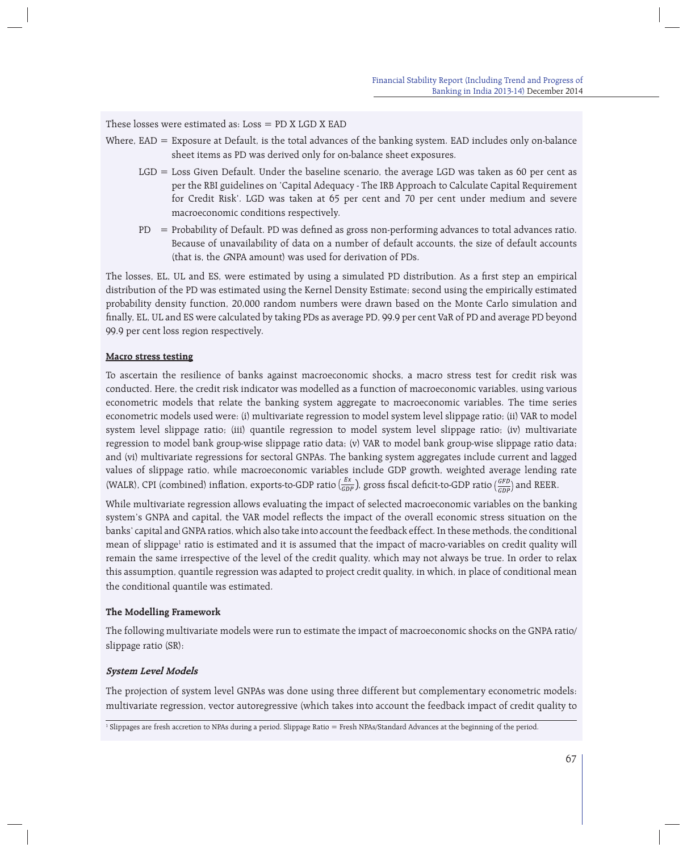## These losses were estimated as:  $Loss = PD X LGD X EAD$

- Where,  $EAD =$  Exposure at Default, is the total advances of the banking system. EAD includes only on-balance sheet items as PD was derived only for on-balance sheet exposures.
	- LGD = Loss Given Default. Under the baseline scenario, the average LGD was taken as 60 per cent as per the RBI guidelines on 'Capital Adequacy - The IRB Approach to Calculate Capital Requirement for Credit Risk'. LGD was taken at 65 per cent and 70 per cent under medium and severe macroeconomic conditions respectively.
	- $PD$  = Probability of Default. PD was defined as gross non-performing advances to total advances ratio. Because of unavailability of data on a number of default accounts, the size of default accounts (that is, the GNPA amount) was used for derivation of PDs.

The losses, EL, UL and ES, were estimated by using a simulated PD distribution. As a first step an empirical distribution of the PD was estimated using the Kernel Density Estimate; second using the empirically estimated probability density function, 20,000 random numbers were drawn based on the Monte Carlo simulation and finally, EL, UL and ES were calculated by taking PDs as average PD, 99.9 per cent VaR of PD and average PD beyond 99.9 per cent loss region respectively.

#### **Macro stress testing**

To ascertain the resilience of banks against macroeconomic shocks, a macro stress test for credit risk was conducted. Here, the credit risk indicator was modelled as a function of macroeconomic variables, using various econometric models that relate the banking system aggregate to macroeconomic variables. The time series econometric models used were: (i) multivariate regression to model system level slippage ratio; (ii) VAR to model system level slippage ratio; (iii) quantile regression to model system level slippage ratio; (iv) multivariate regression to model bank group-wise slippage ratio data; (v) VAR to model bank group-wise slippage ratio data; and (vi) multivariate regressions for sectoral GNPAs. The banking system aggregates include current and lagged values of slippage ratio, while macroeconomic variables include GDP growth, weighted average lending rate (WALR), CPI (combined) inflation, exports-to-GDP ratio  $(\frac{Ex}{GDP})$ , gross fiscal deficit-to-GDP ratio  $(\frac{GFD}{GDP})$  and REER.

While multivariate regression allows evaluating the impact of selected macroeconomic variables on the banking system's GNPA and capital, the VAR model reflects the impact of the overall economic stress situation on the banks' capital and GNPA ratios, which also take into account the feedback effect. In these methods, the conditional mean of slippage<sup>1</sup> ratio is estimated and it is assumed that the impact of macro-variables on credit quality will remain the same irrespective of the level of the credit quality, which may not always be true. In order to relax this assumption, quantile regression was adapted to project credit quality, in which, in place of conditional mean the conditional quantile was estimated.

## **The Modelling Framework**

The following multivariate models were run to estimate the impact of macroeconomic shocks on the GNPA ratio/ slippage ratio (SR):

#### **System Level Models**

The projection of system level GNPAs was done using three different but complementary econometric models: multivariate regression, vector autoregressive (which takes into account the feedback impact of credit quality to

<sup>&</sup>lt;sup>1</sup> Slippages are fresh accretion to NPAs during a period. Slippage Ratio = Fresh NPAs/Standard Advances at the beginning of the period.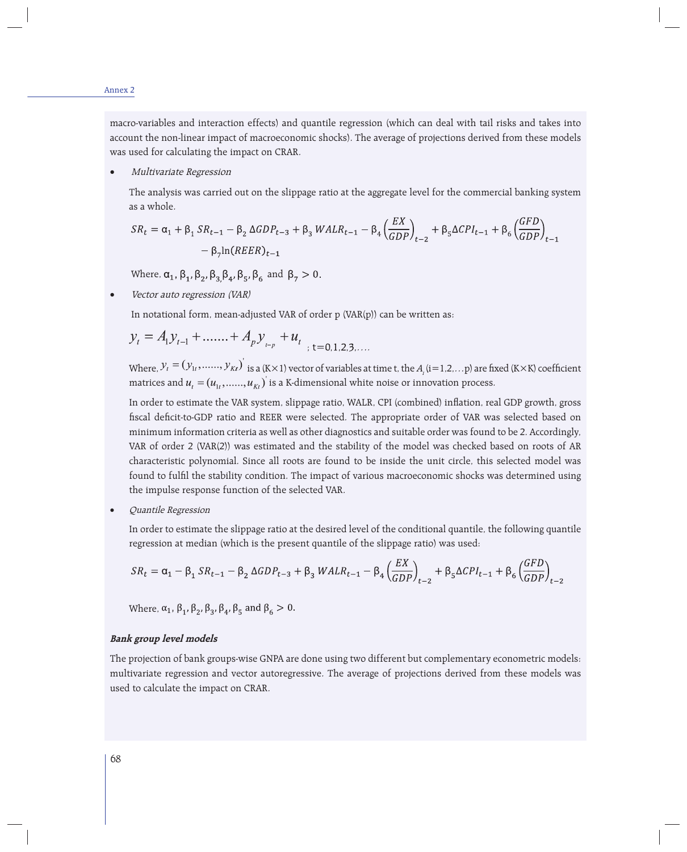macro-variables and interaction effects) and quantile regression (which can deal with tail risks and takes into account the non-linear impact of macroeconomic shocks). The average of projections derived from these models was used for calculating the impact on CRAR.

## Multivariate Regression

The analysis was carried out on the slippage ratio at the aggregate level for the commercial banking system as a whole.

$$
SR_{t} = \alpha_{1} + \beta_{1} SR_{t-1} - \beta_{2} \Delta GDP_{t-3} + \beta_{3} WALR_{t-1} - \beta_{4} \left(\frac{EX}{GDP}\right)_{t-2} + \beta_{5} \Delta CPL_{t-1} + \beta_{6} \left(\frac{GFD}{GDP}\right)_{t-1} - \beta_{7} \ln (REER)_{t-1}
$$

Where,  $\alpha_1$ ,  $\beta_1$ ,  $\beta_2$ ,  $\beta_3$ ,  $\beta_4$ ,  $\beta_5$ ,  $\beta_6$  and  $\beta_7 > 0$ .

Vector auto regression (VAR)

In notational form, mean-adjusted VAR of order p (VAR(p)) can be written as:

$$
y_t = A_1 y_{t-1} + \dots + A_p y_{t-p} + u_t
$$

Where,  $y_t = (y_{1t}, \ldots, y_{Kt})$  is a (K×1) vector of variables at time t, the  $A_i$  (i=1,2,...p) are fixed (K×K) coefficient matrices and  $u_i = (u_{1i}, \ldots, u_{ki})$  is a K-dimensional white noise or innovation process.

In order to estimate the VAR system, slippage ratio, WALR, CPI (combined) inflation, real GDP growth, gross fiscal deficit-to-GDP ratio and REER were selected. The appropriate order of VAR was selected based on minimum information criteria as well as other diagnostics and suitable order was found to be 2. Accordingly, VAR of order 2 (VAR(2)) was estimated and the stability of the model was checked based on roots of AR characteristic polynomial. Since all roots are found to be inside the unit circle, this selected model was found to fulfi l the stability condition. The impact of various macroeconomic shocks was determined using the impulse response function of the selected VAR.

Quantile Regression

In order to estimate the slippage ratio at the desired level of the conditional quantile, the following quantile regression at median (which is the present quantile of the slippage ratio) was used:

$$
SR_t = \alpha_1 - \beta_1 SR_{t-1} - \beta_2 \Delta GDP_{t-3} + \beta_3 WALR_{t-1} - \beta_4 \left(\frac{EX}{GDP}\right)_{t-2} + \beta_5 \Delta CPL_{t-1} + \beta_6 \left(\frac{GFD}{GDP}\right)_{t-2}
$$

Where,  $\alpha_1$ ,  $\beta_1$ ,  $\beta_2$ ,  $\beta_3$ ,  $\beta_4$ ,  $\beta_5$  and  $\beta_6 > 0$ .

#### **Bank group level models**

The projection of bank groups-wise GNPA are done using two different but complementary econometric models: multivariate regression and vector autoregressive. The average of projections derived from these models was used to calculate the impact on CRAR.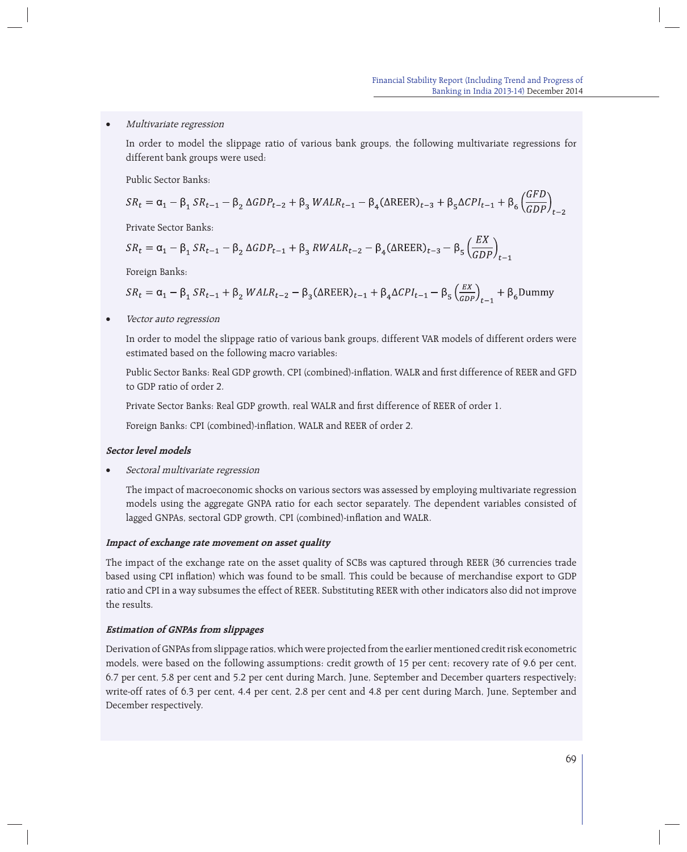## Multivariate regression

 In order to model the slippage ratio of various bank groups, the following multivariate regressions for different bank groups were used:

Public Sector Banks:

$$
SR_t = \alpha_1 - \beta_1 SR_{t-1} - \beta_2 \Delta GDP_{t-2} + \beta_3 WALR_{t-1} - \beta_4 (\Delta REER)_{t-3} + \beta_5 \Delta CPL_{t-1} + \beta_6 \left(\frac{GFD}{GDP}\right)_{t-2}
$$

Private Sector Banks:

$$
SR_t = \alpha_1 - \beta_1 SR_{t-1} - \beta_2 \Delta GDP_{t-1} + \beta_3 RWALR_{t-2} - \beta_4 (\Delta REER)_{t-3} - \beta_5 \left(\frac{EX}{GDP}\right)_{t-1}
$$

Foreign Banks:

$$
SR_t = \alpha_1 - \beta_1 SR_{t-1} + \beta_2 WALR_{t-2} - \beta_3 (\Delta \text{REER})_{t-1} + \beta_4 \Delta CPI_{t-1} - \beta_5 \left(\frac{EX}{GDP}\right)_{t-1} + \beta_6 \text{Dummy}
$$

Vector auto regression

 In order to model the slippage ratio of various bank groups, different VAR models of different orders were estimated based on the following macro variables:

Public Sector Banks: Real GDP growth, CPI (combined)-inflation, WALR and first difference of REER and GFD to GDP ratio of order 2.

Private Sector Banks: Real GDP growth, real WALR and first difference of REER of order 1.

Foreign Banks: CPI (combined)-inflation, WALR and REER of order 2.

#### **Sector level models**

Sectoral multivariate regression

 The impact of macroeconomic shocks on various sectors was assessed by employing multivariate regression models using the aggregate GNPA ratio for each sector separately. The dependent variables consisted of lagged GNPAs, sectoral GDP growth, CPI (combined)-inflation and WALR.

#### **Impact of exchange rate movement on asset quality**

The impact of the exchange rate on the asset quality of SCBs was captured through REER (36 currencies trade based using CPI inflation) which was found to be small. This could be because of merchandise export to GDP ratio and CPI in a way subsumes the effect of REER. Substituting REER with other indicators also did not improve the results.

### **Estimation of GNPAs from slippages**

Derivation of GNPAs from slippage ratios, which were projected from the earlier mentioned credit risk econometric models, were based on the following assumptions: credit growth of 15 per cent; recovery rate of 9.6 per cent, 6.7 per cent, 5.8 per cent and 5.2 per cent during March, June, September and December quarters respectively; write-off rates of 6.3 per cent, 4.4 per cent, 2.8 per cent and 4.8 per cent during March, June, September and December respectively.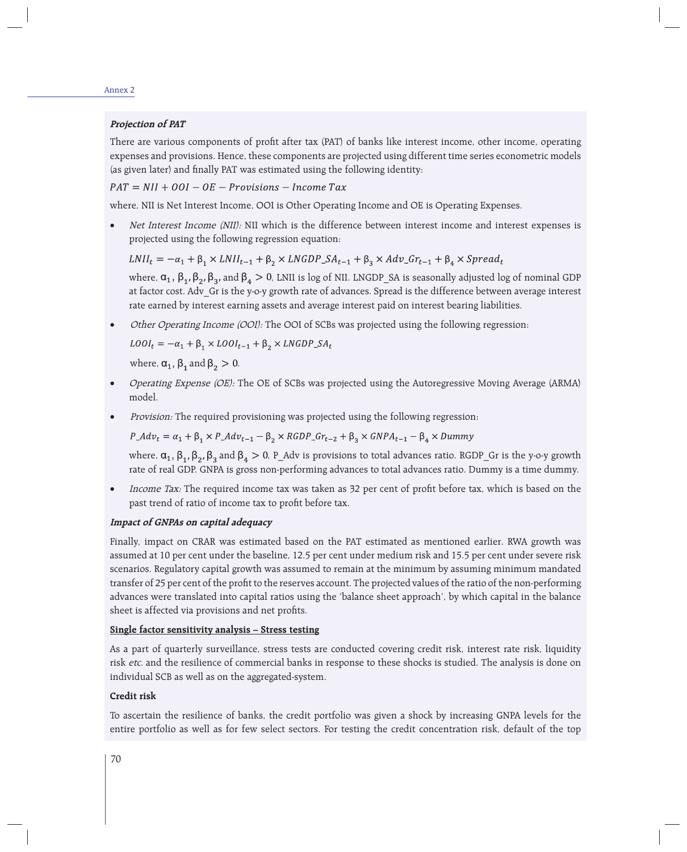#### Annex 2

#### **Projection of PAT**

There are various components of profit after tax (PAT) of banks like interest income, other income, operating expenses and provisions. Hence, these components are projected using different time series econometric models (as given later) and finally PAT was estimated using the following identity:

 $PAT = NII + OOI - OE - Provisions - Income Tax$ 

where, NII is Net Interest Income, OOI is Other Operating Income and OE is Operating Expenses.

• Net Interest Income (NII): NII which is the difference between interest income and interest expenses is projected using the following regression equation:

 $LNII_t = -\alpha_1 + \beta_1 \times LNII_{t-1} + \beta_2 \times LNGDP\_SA_{t-1} + \beta_3 \times Adv\_Gr_{t-1} + \beta_4 \times Spread_t$ 

where,  $\alpha_1$ ,  $\beta_1$ ,  $\beta_2$ ,  $\beta_3$ , and  $\beta_4 > 0$ , LNII is log of NII. LNGDP SA is seasonally adjusted log of nominal GDP at factor cost. Adv Gr is the y-o-y growth rate of advances. Spread is the difference between average interest rate earned by interest earning assets and average interest paid on interest bearing liabilities.

Other Operating Income (OOI): The OOI of SCBs was projected using the following regression:

 $\textit{LOOI}_t = -\alpha_1 + \beta_1 \times \textit{LOOI}_{t-1} + \beta_2 \times \textit{LNGDP\_SA}_t$ 

where,  $\alpha_1$ ,  $\beta_1$  and  $\beta_2 > 0$ .

- Operating Expense (OE): The OE of SCBs was projected using the Autoregressive Moving Average (ARMA) model.
- Provision: The required provisioning was projected using the following regression:

 $P\_Adv_t = \alpha_1 + \beta_1 \times P\_Adv_{t-1} - \beta_2 \times RGBP\_Gr_{t-2} + \beta_3 \times GNPA_{t-1} - \beta_4 \times Dummy$ 

where,  $\alpha_1$ ,  $\beta_1$ ,  $\beta_2$ ,  $\beta_3$  and  $\beta_4 > 0$ , P\_Adv is provisions to total advances ratio. RGDP\_Gr is the y-o-y growth rate of real GDP. GNPA is gross non-performing advances to total advances ratio. Dummy is a time dummy.

Income Tax: The required income tax was taken as 32 per cent of profit before tax, which is based on the past trend of ratio of income tax to profit before tax.

#### **Impact of GNPAs on capital adequacy**

Finally, impact on CRAR was estimated based on the PAT estimated as mentioned earlier. RWA growth was assumed at 10 per cent under the baseline, 12.5 per cent under medium risk and 15.5 per cent under severe risk scenarios. Regulatory capital growth was assumed to remain at the minimum by assuming minimum mandated transfer of 25 per cent of the profit to the reserves account. The projected values of the ratio of the non-performing advances were translated into capital ratios using the 'balance sheet approach', by which capital in the balance sheet is affected via provisions and net profits.

## **Single factor sensitivity analysis – Stress testing**

As a part of quarterly surveillance, stress tests are conducted covering credit risk, interest rate risk, liquidity risk etc. and the resilience of commercial banks in response to these shocks is studied. The analysis is done on individual SCB as well as on the aggregated-system.

### **Credit risk**

To ascertain the resilience of banks, the credit portfolio was given a shock by increasing GNPA levels for the entire portfolio as well as for few select sectors. For testing the credit concentration risk, default of the top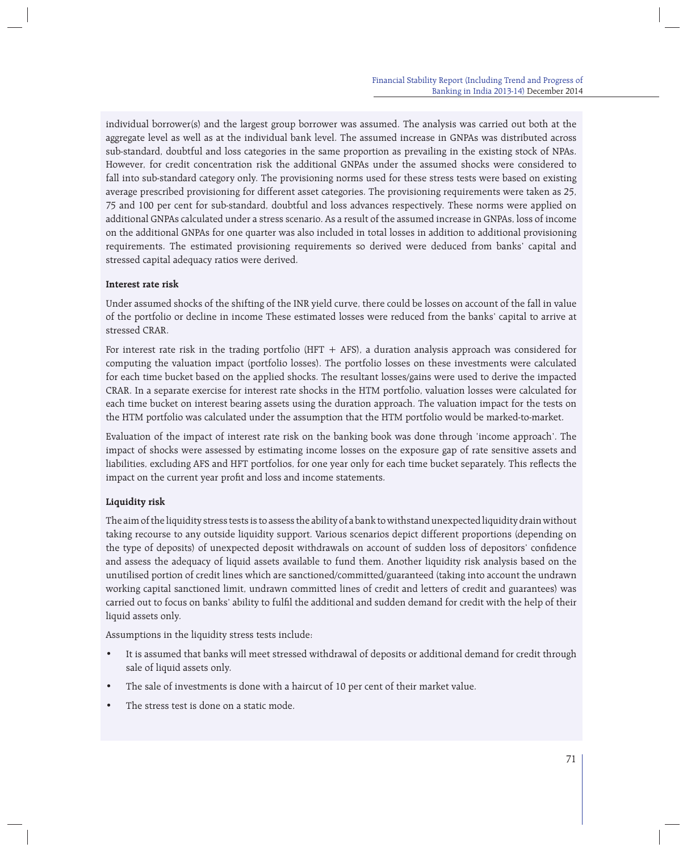individual borrower(s) and the largest group borrower was assumed. The analysis was carried out both at the aggregate level as well as at the individual bank level. The assumed increase in GNPAs was distributed across sub-standard, doubtful and loss categories in the same proportion as prevailing in the existing stock of NPAs. However, for credit concentration risk the additional GNPAs under the assumed shocks were considered to fall into sub-standard category only. The provisioning norms used for these stress tests were based on existing average prescribed provisioning for different asset categories. The provisioning requirements were taken as 25, 75 and 100 per cent for sub-standard, doubtful and loss advances respectively. These norms were applied on additional GNPAs calculated under a stress scenario. As a result of the assumed increase in GNPAs, loss of income on the additional GNPAs for one quarter was also included in total losses in addition to additional provisioning requirements. The estimated provisioning requirements so derived were deduced from banks' capital and stressed capital adequacy ratios were derived.

# **Interest rate risk**

Under assumed shocks of the shifting of the INR yield curve, there could be losses on account of the fall in value of the portfolio or decline in income These estimated losses were reduced from the banks' capital to arrive at stressed CRAR.

For interest rate risk in the trading portfolio (HFT  $+$  AFS), a duration analysis approach was considered for computing the valuation impact (portfolio losses). The portfolio losses on these investments were calculated for each time bucket based on the applied shocks. The resultant losses/gains were used to derive the impacted CRAR. In a separate exercise for interest rate shocks in the HTM portfolio, valuation losses were calculated for each time bucket on interest bearing assets using the duration approach. The valuation impact for the tests on the HTM portfolio was calculated under the assumption that the HTM portfolio would be marked-to-market.

Evaluation of the impact of interest rate risk on the banking book was done through 'income approach'. The impact of shocks were assessed by estimating income losses on the exposure gap of rate sensitive assets and liabilities, excluding AFS and HFT portfolios, for one year only for each time bucket separately. This reflects the impact on the current year profit and loss and income statements.

## **Liquidity risk**

The aim of the liquidity stress tests is to assess the ability of a bank to withstand unexpected liquidity drain without taking recourse to any outside liquidity support. Various scenarios depict different proportions (depending on the type of deposits) of unexpected deposit withdrawals on account of sudden loss of depositors' confidence and assess the adequacy of liquid assets available to fund them. Another liquidity risk analysis based on the unutilised portion of credit lines which are sanctioned/committed/guaranteed (taking into account the undrawn working capital sanctioned limit, undrawn committed lines of credit and letters of credit and guarantees) was carried out to focus on banks' ability to fulfil the additional and sudden demand for credit with the help of their liquid assets only.

Assumptions in the liquidity stress tests include:

- It is assumed that banks will meet stressed withdrawal of deposits or additional demand for credit through sale of liquid assets only.
- The sale of investments is done with a haircut of 10 per cent of their market value.
- The stress test is done on a static mode.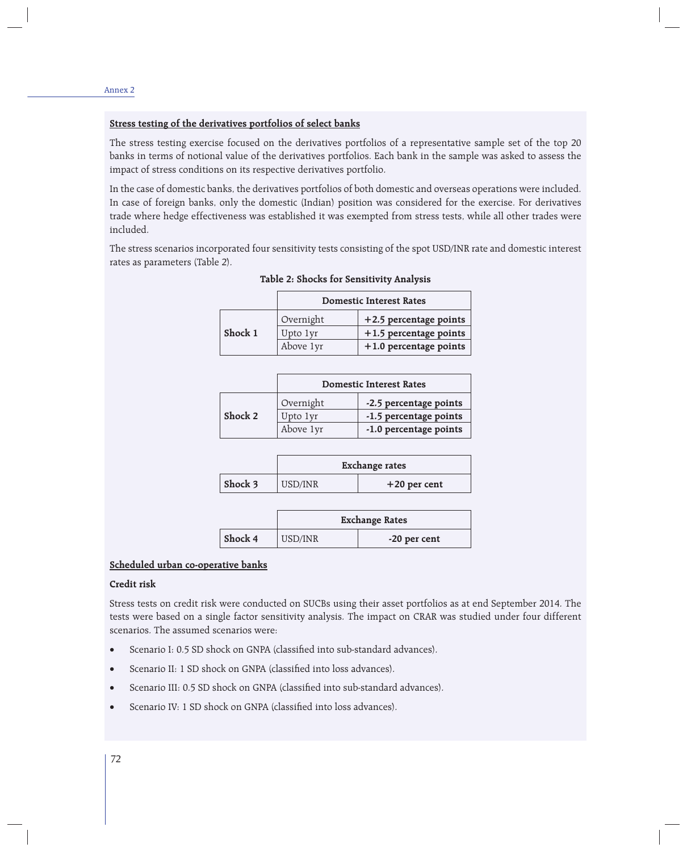# **Stress testing of the derivatives portfolios of select banks**

The stress testing exercise focused on the derivatives portfolios of a representative sample set of the top 20 banks in terms of notional value of the derivatives portfolios. Each bank in the sample was asked to assess the impact of stress conditions on its respective derivatives portfolio.

In the case of domestic banks, the derivatives portfolios of both domestic and overseas operations were included. In case of foreign banks, only the domestic (Indian) position was considered for the exercise. For derivatives trade where hedge effectiveness was established it was exempted from stress tests, while all other trades were included.

The stress scenarios incorporated four sensitivity tests consisting of the spot USD/INR rate and domestic interest rates as parameters (Table 2).

**Table 2: Shocks for Sensitivity Analysis**

|         | <b>Domestic Interest Rates</b> |                          |
|---------|--------------------------------|--------------------------|
|         | Overnight                      | $+2.5$ percentage points |
| Shock 1 | Upto 1yr                       | $+1.5$ percentage points |
|         | Above 1yr                      | $+1.0$ percentage points |

|         | <b>Domestic Interest Rates</b> |                        |  |
|---------|--------------------------------|------------------------|--|
|         | Overnight                      | -2.5 percentage points |  |
| Shock 2 | Upto 1yr                       | -1.5 percentage points |  |
|         | Above 1yr                      | -1.0 percentage points |  |

|                 | <b>Exchange rates</b> |                |  |
|-----------------|-----------------------|----------------|--|
| $\vert$ Shock 3 | USD/INR               | $+20$ per cent |  |

|         | <b>Exchange Rates</b> |              |  |
|---------|-----------------------|--------------|--|
| Shock 4 | USD/INR               | -20 per cent |  |

## **Scheduled urban co-operative banks**

### **Credit risk**

Stress tests on credit risk were conducted on SUCBs using their asset portfolios as at end September 2014. The tests were based on a single factor sensitivity analysis. The impact on CRAR was studied under four different scenarios. The assumed scenarios were:

- Scenario I: 0.5 SD shock on GNPA (classified into sub-standard advances).
- Scenario II: 1 SD shock on GNPA (classified into loss advances).
- Scenario III: 0.5 SD shock on GNPA (classified into sub-standard advances).
- Scenario IV: 1 SD shock on GNPA (classified into loss advances).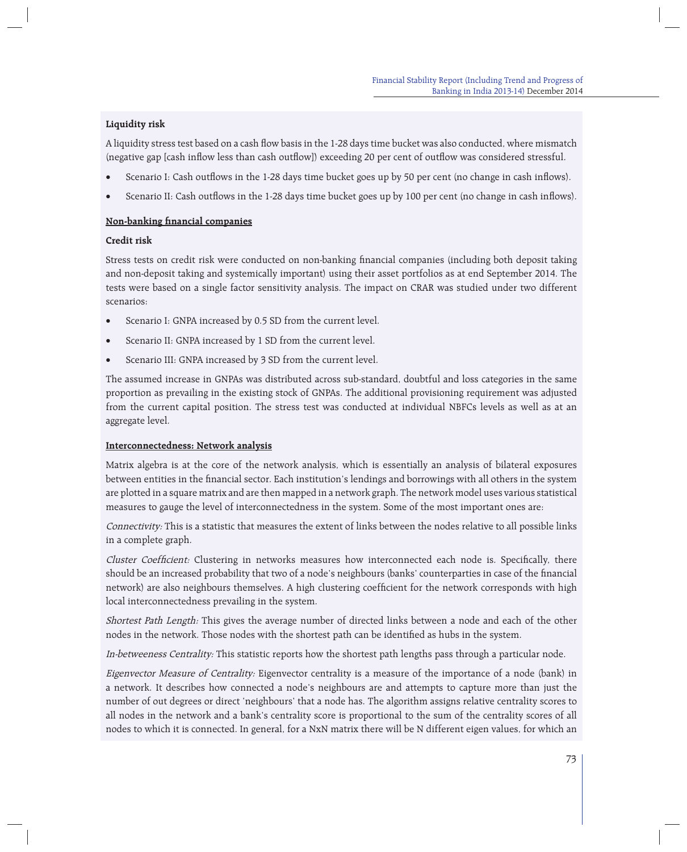# **Liquidity risk**

A liquidity stress test based on a cash flow basis in the 1-28 days time bucket was also conducted, where mismatch (negative gap [cash inflow less than cash outflow]) exceeding 20 per cent of outflow was considered stressful.

- Scenario I: Cash outflows in the 1-28 days time bucket goes up by 50 per cent (no change in cash inflows).
- Scenario II: Cash outflows in the 1-28 days time bucket goes up by 100 per cent (no change in cash inflows).

# **Non-banking financial companies**

# **Credit risk**

Stress tests on credit risk were conducted on non-banking financial companies (including both deposit taking and non-deposit taking and systemically important) using their asset portfolios as at end September 2014. The tests were based on a single factor sensitivity analysis. The impact on CRAR was studied under two different scenarios:

- Scenario I: GNPA increased by 0.5 SD from the current level.
- Scenario II: GNPA increased by 1 SD from the current level.
- Scenario III: GNPA increased by 3 SD from the current level.

The assumed increase in GNPAs was distributed across sub-standard, doubtful and loss categories in the same proportion as prevailing in the existing stock of GNPAs. The additional provisioning requirement was adjusted from the current capital position. The stress test was conducted at individual NBFCs levels as well as at an aggregate level.

## **Interconnectedness: Network analysis**

Matrix algebra is at the core of the network analysis, which is essentially an analysis of bilateral exposures between entities in the financial sector. Each institution's lendings and borrowings with all others in the system are plotted in a square matrix and are then mapped in a network graph. The network model uses various statistical measures to gauge the level of interconnectedness in the system. Some of the most important ones are:

Connectivity: This is a statistic that measures the extent of links between the nodes relative to all possible links in a complete graph.

Cluster Coefficient: Clustering in networks measures how interconnected each node is. Specifically, there should be an increased probability that two of a node's neighbours (banks' counterparties in case of the financial network) are also neighbours themselves. A high clustering coefficient for the network corresponds with high local interconnectedness prevailing in the system.

Shortest Path Length: This gives the average number of directed links between a node and each of the other nodes in the network. Those nodes with the shortest path can be identified as hubs in the system.

In-betweeness Centrality: This statistic reports how the shortest path lengths pass through a particular node.

Eigenvector Measure of Centrality: Eigenvector centrality is a measure of the importance of a node (bank) in a network. It describes how connected a node's neighbours are and attempts to capture more than just the number of out degrees or direct 'neighbours' that a node has. The algorithm assigns relative centrality scores to all nodes in the network and a bank's centrality score is proportional to the sum of the centrality scores of all nodes to which it is connected. In general, for a NxN matrix there will be N different eigen values, for which an